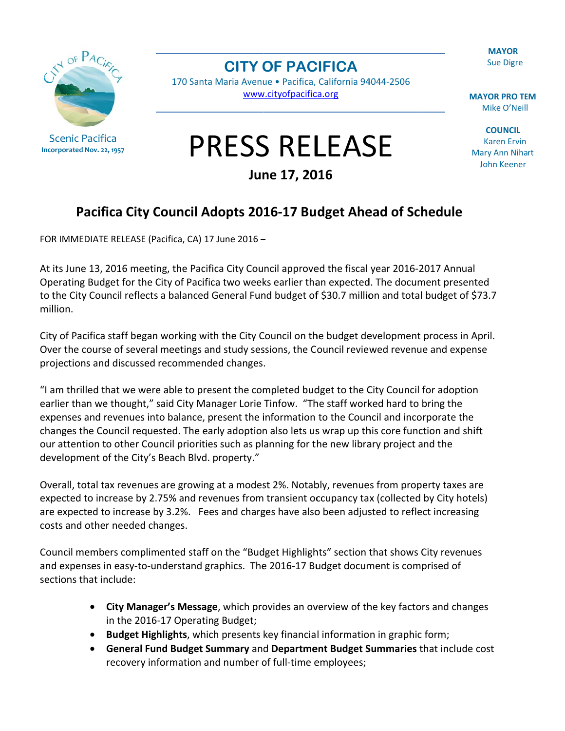**MAYOR Sue Digre** 

**Scenic Pacifica** Incorporated Nov. 22, 1957 **CITY OF PACIFICA** 

170 Santa Maria Avenue · Pacifica, California 94044-2506 www.cityofpacifica.org

**MAYOR PRO TEM** Mike O'Neill

**COUNCIL Karen Ervin Mary Ann Nihart** John Keener

## **PRESS RELEASE**

June 17, 2016

## Pacifica City Council Adopts 2016-17 Budget Ahead of Schedule

FOR IMMEDIATE RELEASE (Pacifica, CA) 17 June 2016 -

At its June 13, 2016 meeting, the Pacifica City Council approved the fiscal year 2016-2017 Annual Operating Budget for the City of Pacifica two weeks earlier than expected. The document presented to the City Council reflects a balanced General Fund budget of \$30.7 million and total budget of \$73.7 million.

City of Pacifica staff began working with the City Council on the budget development process in April. Over the course of several meetings and study sessions, the Council reviewed revenue and expense projections and discussed recommended changes.

"I am thrilled that we were able to present the completed budget to the City Council for adoption earlier than we thought," said City Manager Lorie Tinfow. "The staff worked hard to bring the expenses and revenues into balance, present the information to the Council and incorporate the changes the Council requested. The early adoption also lets us wrap up this core function and shift our attention to other Council priorities such as planning for the new library project and the development of the City's Beach Blvd. property."

Overall, total tax revenues are growing at a modest 2%. Notably, revenues from property taxes are expected to increase by 2.75% and revenues from transient occupancy tax (collected by City hotels) are expected to increase by 3.2%. Fees and charges have also been adjusted to reflect increasing costs and other needed changes.

Council members complimented staff on the "Budget Highlights" section that shows City revenues and expenses in easy-to-understand graphics. The 2016-17 Budget document is comprised of sections that include:

- City Manager's Message, which provides an overview of the key factors and changes in the 2016-17 Operating Budget;
- Budget Highlights, which presents key financial information in graphic form;
- $\bullet$ General Fund Budget Summary and Department Budget Summaries that include cost recovery information and number of full-time employees;